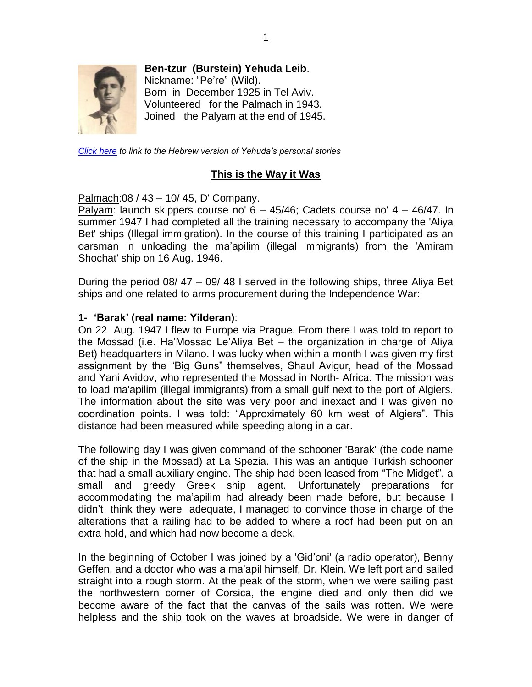

**Ben-tzur (Burstein) Yehuda Leib**.

Nickname: "Pe're" (Wild). Born in December 1925 in Tel Aviv. Volunteered for the Palmach in 1943. Joined the Palyam at the end of 1945.

*[Click here](http://www.palyam.org/HaverimMesaprim/Yehuda_Bentzur/mainpage.php) to link to the Hebrew version of Yehuda's personal stories*

#### **This is the Way it Was**

Palmach:08 / 43 – 10/ 45, D' Company.

Palyam: launch skippers course no' 6 – 45/46; Cadets course no' 4 – 46/47. In summer 1947 I had completed all the training necessary to accompany the 'Aliya Bet' ships (Illegal immigration). In the course of this training I participated as an oarsman in unloading the ma'apilim (illegal immigrants) from the 'Amiram Shochat' ship on 16 Aug. 1946.

During the period 08/ 47 – 09/ 48 I served in the following ships, three Aliya Bet ships and one related to arms procurement during the Independence War:

#### **1- 'Barak' (real name: Yilderan)**:

On 22 Aug. 1947 I flew to Europe via Prague. From there I was told to report to the Mossad (i.e. Ha'Mossad Le'Aliya Bet – the organization in charge of Aliya Bet) headquarters in Milano. I was lucky when within a month I was given my first assignment by the "Big Guns" themselves, Shaul Avigur, head of the Mossad and Yani Avidov, who represented the Mossad in North- Africa. The mission was to load ma'apilim (illegal immigrants) from a small gulf next to the port of Algiers. The information about the site was very poor and inexact and I was given no coordination points. I was told: "Approximately 60 km west of Algiers". This distance had been measured while speeding along in a car.

The following day I was given command of the schooner 'Barak' (the code name of the ship in the Mossad) at La Spezia. This was an antique Turkish schooner that had a small auxiliary engine. The ship had been leased from "The Midget", a small and greedy Greek ship agent. Unfortunately preparations for accommodating the ma'apilim had already been made before, but because I didn't think they were adequate, I managed to convince those in charge of the alterations that a railing had to be added to where a roof had been put on an extra hold, and which had now become a deck.

In the beginning of October I was joined by a 'Gid'oni' (a radio operator), Benny Geffen, and a doctor who was a ma'apil himself, Dr. Klein. We left port and sailed straight into a rough storm. At the peak of the storm, when we were sailing past the northwestern corner of Corsica, the engine died and only then did we become aware of the fact that the canvas of the sails was rotten. We were helpless and the ship took on the waves at broadside. We were in danger of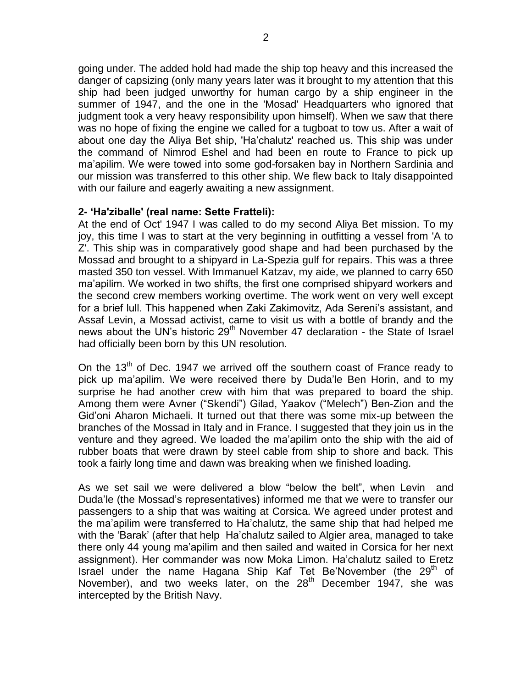going under. The added hold had made the ship top heavy and this increased the danger of capsizing (only many years later was it brought to my attention that this ship had been judged unworthy for human cargo by a ship engineer in the summer of 1947, and the one in the 'Mosad' Headquarters who ignored that judgment took a very heavy responsibility upon himself). When we saw that there was no hope of fixing the engine we called for a tugboat to tow us. After a wait of about one day the Aliya Bet ship, 'Ha'chalutz' reached us. This ship was under the command of Nimrod Eshel and had been en route to France to pick up ma'apilim. We were towed into some god-forsaken bay in Northern Sardinia and our mission was transferred to this other ship. We flew back to Italy disappointed with our failure and eagerly awaiting a new assignment.

# **2- 'Ha'ziballe' (real name: Sette Fratteli):**

At the end of Oct' 1947 I was called to do my second Aliya Bet mission. To my joy, this time I was to start at the very beginning in outfitting a vessel from 'A to Z'. This ship was in comparatively good shape and had been purchased by the Mossad and brought to a shipyard in La-Spezia gulf for repairs. This was a three masted 350 ton vessel. With Immanuel Katzav, my aide, we planned to carry 650 ma'apilim. We worked in two shifts, the first one comprised shipyard workers and the second crew members working overtime. The work went on very well except for a brief lull. This happened when Zaki Zakimovitz, Ada Sereni's assistant, and Assaf Levin, a Mossad activist, came to visit us with a bottle of brandy and the news about the UN's historic  $29<sup>th</sup>$  November 47 declaration - the State of Israel had officially been born by this UN resolution.

On the 13<sup>th</sup> of Dec. 1947 we arrived off the southern coast of France ready to pick up ma'apilim. We were received there by Duda'le Ben Horin, and to my surprise he had another crew with him that was prepared to board the ship. Among them were Avner ("Skendi") Gilad, Yaakov ("Melech") Ben-Zion and the Gid'oni Aharon Michaeli. It turned out that there was some mix-up between the branches of the Mossad in Italy and in France. I suggested that they join us in the venture and they agreed. We loaded the ma'apilim onto the ship with the aid of rubber boats that were drawn by steel cable from ship to shore and back. This took a fairly long time and dawn was breaking when we finished loading.

As we set sail we were delivered a blow "below the belt", when Levin and Duda'le (the Mossad's representatives) informed me that we were to transfer our passengers to a ship that was waiting at Corsica. We agreed under protest and the ma'apilim were transferred to Ha'chalutz, the same ship that had helped me with the 'Barak' (after that help Ha'chalutz sailed to Algier area, managed to take there only 44 young ma'apilim and then sailed and waited in Corsica for her next assignment). Her commander was now Moka Limon. Ha'chalutz sailed to Eretz Israel under the name Hagana Ship Kaf Tet Be'November (the 29<sup>th</sup> of November), and two weeks later, on the  $28<sup>th</sup>$  December 1947, she was intercepted by the British Navy.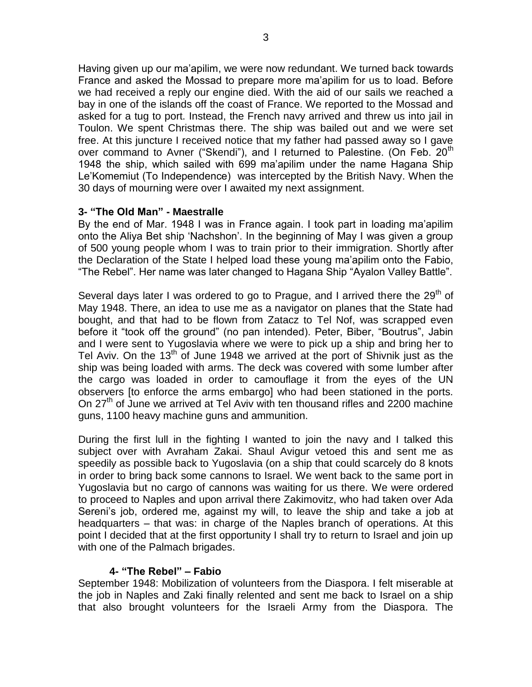Having given up our ma'apilim, we were now redundant. We turned back towards France and asked the Mossad to prepare more ma'apilim for us to load. Before we had received a reply our engine died. With the aid of our sails we reached a bay in one of the islands off the coast of France. We reported to the Mossad and asked for a tug to port. Instead, the French navy arrived and threw us into jail in Toulon. We spent Christmas there. The ship was bailed out and we were set free. At this juncture I received notice that my father had passed away so I gave over command to Avner ("Skendi"), and I returned to Palestine. (On Feb. 20<sup>th</sup> 1948 the ship, which sailed with 699 ma'apilim under the name Hagana Ship Le'Komemiut (To Independence) was intercepted by the British Navy. When the 30 days of mourning were over I awaited my next assignment.

# **3- "The Old Man" - Maestralle**

By the end of Mar. 1948 I was in France again. I took part in loading ma'apilim onto the Aliya Bet ship 'Nachshon'. In the beginning of May I was given a group of 500 young people whom I was to train prior to their immigration. Shortly after the Declaration of the State I helped load these young ma'apilim onto the Fabio, "The Rebel". Her name was later changed to Hagana Ship "Ayalon Valley Battle".

Several days later I was ordered to go to Prague, and I arrived there the  $29<sup>th</sup>$  of May 1948. There, an idea to use me as a navigator on planes that the State had bought, and that had to be flown from Zatacz to Tel Nof, was scrapped even before it "took off the ground" (no pan intended). Peter, Biber, "Boutrus", Jabin and I were sent to Yugoslavia where we were to pick up a ship and bring her to Tel Aviv. On the  $13<sup>th</sup>$  of June 1948 we arrived at the port of Shivnik just as the ship was being loaded with arms. The deck was covered with some lumber after the cargo was loaded in order to camouflage it from the eyes of the UN observers [to enforce the arms embargo] who had been stationed in the ports. On  $27<sup>th</sup>$  of June we arrived at Tel Aviv with ten thousand rifles and 2200 machine guns, 1100 heavy machine guns and ammunition.

During the first lull in the fighting I wanted to join the navy and I talked this subject over with Avraham Zakai. Shaul Avigur vetoed this and sent me as speedily as possible back to Yugoslavia (on a ship that could scarcely do 8 knots in order to bring back some cannons to Israel. We went back to the same port in Yugoslavia but no cargo of cannons was waiting for us there. We were ordered to proceed to Naples and upon arrival there Zakimovitz, who had taken over Ada Sereni's job, ordered me, against my will, to leave the ship and take a job at headquarters – that was: in charge of the Naples branch of operations. At this point I decided that at the first opportunity I shall try to return to Israel and join up with one of the Palmach brigades.

# **4- "The Rebel" – Fabio**

September 1948: Mobilization of volunteers from the Diaspora. I felt miserable at the job in Naples and Zaki finally relented and sent me back to Israel on a ship that also brought volunteers for the Israeli Army from the Diaspora. The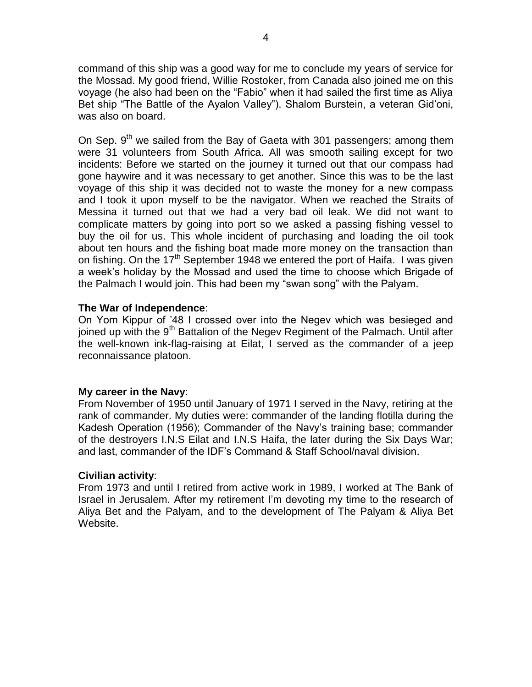command of this ship was a good way for me to conclude my years of service for the Mossad. My good friend, Willie Rostoker, from Canada also joined me on this voyage (he also had been on the "Fabio" when it had sailed the first time as Aliya Bet ship "The Battle of the Ayalon Valley"). Shalom Burstein, a veteran Gid'oni, was also on board.

On Sep.  $9<sup>th</sup>$  we sailed from the Bay of Gaeta with 301 passengers; among them were 31 volunteers from South Africa. All was smooth sailing except for two incidents: Before we started on the journey it turned out that our compass had gone haywire and it was necessary to get another. Since this was to be the last voyage of this ship it was decided not to waste the money for a new compass and I took it upon myself to be the navigator. When we reached the Straits of Messina it turned out that we had a very bad oil leak. We did not want to complicate matters by going into port so we asked a passing fishing vessel to buy the oil for us. This whole incident of purchasing and loading the oil took about ten hours and the fishing boat made more money on the transaction than on fishing. On the 17<sup>th</sup> September 1948 we entered the port of Haifa. I was given a week's holiday by the Mossad and used the time to choose which Brigade of the Palmach I would join. This had been my "swan song" with the Palyam.

#### **The War of Independence**:

On Yom Kippur of '48 I crossed over into the Negev which was besieged and joined up with the 9<sup>th</sup> Battalion of the Negev Regiment of the Palmach. Until after the well-known ink-flag-raising at Eilat, I served as the commander of a jeep reconnaissance platoon.

# **My career in the Navy**:

From November of 1950 until January of 1971 I served in the Navy, retiring at the rank of commander. My duties were: commander of the landing flotilla during the Kadesh Operation (1956); Commander of the Navy's training base; commander of the destroyers I.N.S Eilat and I.N.S Haifa, the later during the Six Days War; and last, commander of the IDF's Command & Staff School/naval division.

#### **Civilian activity**:

From 1973 and until I retired from active work in 1989, I worked at The Bank of Israel in Jerusalem. After my retirement I'm devoting my time to the research of Aliya Bet and the Palyam, and to the development of The Palyam & Aliya Bet Website.